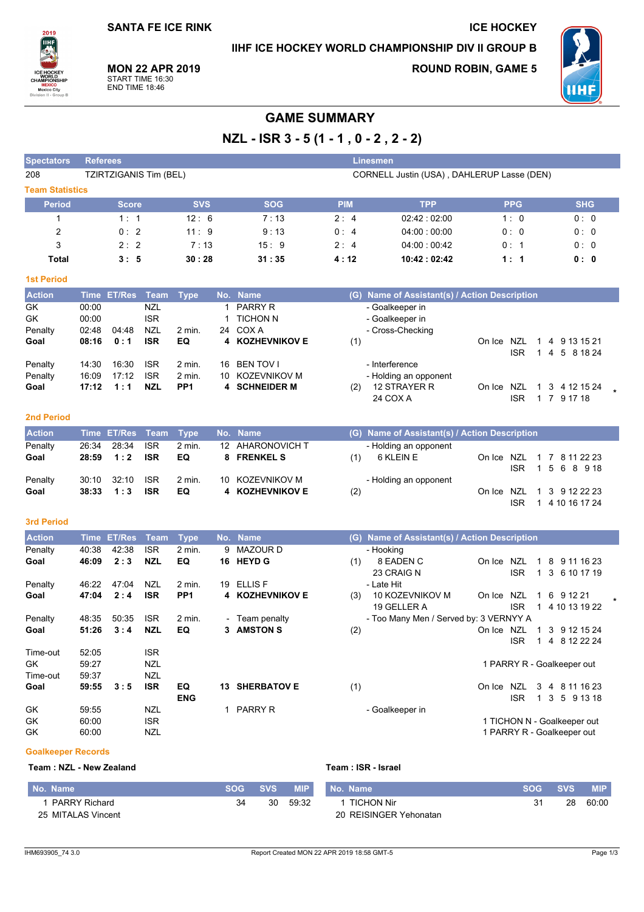**SANTA FE ICE RINK** 

IIHF ICE HOCKEY WORLD CHAMPIONSHIP DIV II GROUP B

**ICE HOCKEY** 



**MON 22 APR 2019** START TIME 16:30<br>END TIME 18:46

**ROUND ROBIN, GAME 5** 



# **GAME SUMMARY**

NZL - ISR 3 - 5 (1 - 1, 0 - 2, 2 - 2)

| <b>Spectators</b>      | <b>Referees</b>        |            |            |            | <b>Linesmen</b>                            |            |            |  |  |  |  |  |
|------------------------|------------------------|------------|------------|------------|--------------------------------------------|------------|------------|--|--|--|--|--|
| 208                    | TZIRTZIGANIS Tim (BEL) |            |            |            | CORNELL Justin (USA), DAHLERUP Lasse (DEN) |            |            |  |  |  |  |  |
| <b>Team Statistics</b> |                        |            |            |            |                                            |            |            |  |  |  |  |  |
| <b>Period</b>          | <b>Score</b>           | <b>SVS</b> | <b>SOG</b> | <b>PIM</b> | <b>TPP</b>                                 | <b>PPG</b> | <b>SHG</b> |  |  |  |  |  |
|                        | 1:1                    | 12:6       | 7:13       | 2:4        | 02.42:02:00                                | 1:0        | 0:0        |  |  |  |  |  |
| 2                      | 0:2                    | 11:9       | 9:13       | 0:4        | 04:00:00:00                                | 0:0        | 0:0        |  |  |  |  |  |
| 3                      | 2:2                    | 7:13       | 15:9       | 2:4        | 04:00:00:42                                | 0:1        | 0:0        |  |  |  |  |  |
| Total                  | 3:5                    | 30:28      | 31:35      | 4:12       | 10:42:02:42                                | 1:1        | 0:0        |  |  |  |  |  |

#### **1st Period**

| <b>Action</b> |       | Time ET/Res Team |            | <b>Type</b>       |     | No. Name        | (G) Name of Assistant(s) / Action Description |   |                |  |
|---------------|-------|------------------|------------|-------------------|-----|-----------------|-----------------------------------------------|---|----------------|--|
| GK            | 00:00 |                  | NZL        |                   |     | <b>PARRY R</b>  | - Goalkeeper in                               |   |                |  |
| GK            | 00:00 |                  | <b>ISR</b> |                   |     | <b>TICHON N</b> | - Goalkeeper in                               |   |                |  |
| Penalty       | 02:48 | 04:48            | NZL        | $2 \text{ min}$ . | 24  | COX A           | - Cross-Checking                              |   |                |  |
| Goal          | 08:16 | 0:1              | <b>ISR</b> | EQ                |     | 4 KOZHEVNIKOV E | (1)<br>NZL<br>On Ice                          | 4 | 9 13 15 21     |  |
|               |       |                  |            |                   |     |                 | <b>ISR</b>                                    | 4 | 5 8 18 24      |  |
| Penalty       | 14:30 | 16:30            | <b>ISR</b> | $2 \text{ min}$ . | 16  | BEN TOV I       | - Interference                                |   |                |  |
| Penalty       | 16:09 | 17:12            | <b>ISR</b> | $2$ min.          | 10. | KOZEVNIKOV M    | - Holding an opponent                         |   |                |  |
| Goal          | 17:12 | 1:1              | <b>NZL</b> | PP <sub>1</sub>   |     | 4 SCHNEIDER M   | 12 STRAYER R<br>(2)<br>NZL<br>On Ice          |   | 1 3 4 12 15 24 |  |
|               |       |                  |            |                   |     |                 | 24 COX A<br><b>ISR</b>                        |   | 9 17 18        |  |

## **2nd Period**

| <b>Action</b> |       | Time ET/Res Team Type |            |          | No. Name         |     | (G) Name of Assistant(s) / Action Description |                           |      |  |               |  |
|---------------|-------|-----------------------|------------|----------|------------------|-----|-----------------------------------------------|---------------------------|------|--|---------------|--|
| Penalty       | 26:34 | 28:34                 | <b>ISR</b> | $2$ min. | 12 AHARONOVICH T |     | - Holding an opponent                         |                           |      |  |               |  |
| Goal          | 28:59 | 1:2                   | <b>ISR</b> | EQ       | 8 FRENKEL S      | (1) | 6 KLEIN E                                     | On Ice NZL 1 7 8 11 22 23 |      |  |               |  |
|               |       |                       |            |          |                  |     |                                               |                           | ISR. |  | 1 5 6 8 9 18  |  |
| Penalty       | 30:10 | 32:10                 | <b>ISR</b> | $2$ min. | 10 KOZEVNIKOV M  |     | - Holding an opponent                         |                           |      |  |               |  |
| Goal          | 38:33 | 1:3                   | <b>ISR</b> | EQ       | 4 KOZHEVNIKOV E  | (2) |                                               | On Ice NZL 1 3 9 12 22 23 |      |  |               |  |
|               |       |                       |            |          |                  |     |                                               |                           | ISR  |  | 4 10 16 17 24 |  |

## 3rd Period

| <b>Action</b> | Time  | <b>ET/Res</b> | Team       | <b>Type</b>     |    | No. Name               | (G) | Name of Assistant(s) / Action Description |        |            |   |     |                             |  |
|---------------|-------|---------------|------------|-----------------|----|------------------------|-----|-------------------------------------------|--------|------------|---|-----|-----------------------------|--|
| Penalty       | 40:38 | 42:38         | <b>ISR</b> | 2 min.          | 9  | MAZOUR D               |     | - Hooking                                 |        |            |   |     |                             |  |
| Goal          | 46:09 | 2:3           | <b>NZL</b> | EQ              | 16 | <b>HEYD G</b>          | (1) | 8 EADEN C                                 | On Ice | NZL        |   | 8   | 9 11 16 23                  |  |
|               |       |               |            |                 |    |                        |     | 23 CRAIG N                                |        | <b>ISR</b> |   |     | 3 6 10 17 19                |  |
| Penalty       | 46:22 | 47:04         | <b>NZL</b> | $2$ min.        | 19 | <b>ELLIS F</b>         |     | - Late Hit                                |        |            |   |     |                             |  |
| Goal          | 47:04 | 2:4           | <b>ISR</b> | PP <sub>1</sub> |    | <b>4 KOZHEVNIKOV E</b> | (3) | 10 KOZEVNIKOV M                           | On Ice | NZL        |   | 6   | 9 12 21                     |  |
|               |       |               |            |                 |    |                        |     | 19 GELLER A                               |        | <b>ISR</b> |   |     | 4 10 13 19 22               |  |
| Penalty       | 48:35 | 50:35         | <b>ISR</b> | 2 min.          |    | - Team penalty         |     | - Too Many Men / Served by: 3 VERNYY A    |        |            |   |     |                             |  |
| Goal          | 51:26 | 3:4           | <b>NZL</b> | EQ              | 3  | <b>AMSTON S</b>        | (2) |                                           | On Ice | NZL        |   | 3   | 9 12 15 24                  |  |
|               |       |               |            |                 |    |                        |     |                                           |        | <b>ISR</b> |   | 4   | 8 12 22 24                  |  |
| Time-out      | 52:05 |               | <b>ISR</b> |                 |    |                        |     |                                           |        |            |   |     |                             |  |
| GK.           | 59.27 |               | NZL        |                 |    |                        |     |                                           |        |            |   |     | 1 PARRY R - Goalkeeper out  |  |
| Time-out      | 59.37 |               | NZL        |                 |    |                        |     |                                           |        |            |   |     |                             |  |
| Goal          | 59:55 | 3:5           | <b>ISR</b> | EQ              | 13 | <b>SHERBATOV E</b>     | (1) |                                           | On Ice | <b>NZL</b> | 3 | 4   | 8 11 16 23                  |  |
|               |       |               |            | <b>ENG</b>      |    |                        |     |                                           |        | <b>ISR</b> |   | 1 3 | 5<br>9 13 18                |  |
| GK            | 59:55 |               | NZL        |                 |    | <b>PARRY R</b>         |     | - Goalkeeper in                           |        |            |   |     |                             |  |
| GK            | 60.00 |               | <b>ISR</b> |                 |    |                        |     |                                           |        |            |   |     | 1 TICHON N - Goalkeeper out |  |
| GK            | 60.00 |               | NZL        |                 |    |                        |     |                                           |        |            |   |     | 1 PARRY R - Goalkeeper out  |  |

#### **Goalkeeper Records**

## Team: NZL - New Zealand

Team : ISR - Israel

| No. Name           | SOG 1 | <b>SVS</b> | <b>MIP</b> | I No. Name             | SOG. | <b>SVS</b> | <b>MIP</b> |
|--------------------|-------|------------|------------|------------------------|------|------------|------------|
| PARRY Richard      | 34    | 30         | 59:32      | 1 TICHON Nir           |      | 28         | 60:00      |
| 25 MITALAS Vincent |       |            |            | 20 REISINGER Yehonatan |      |            |            |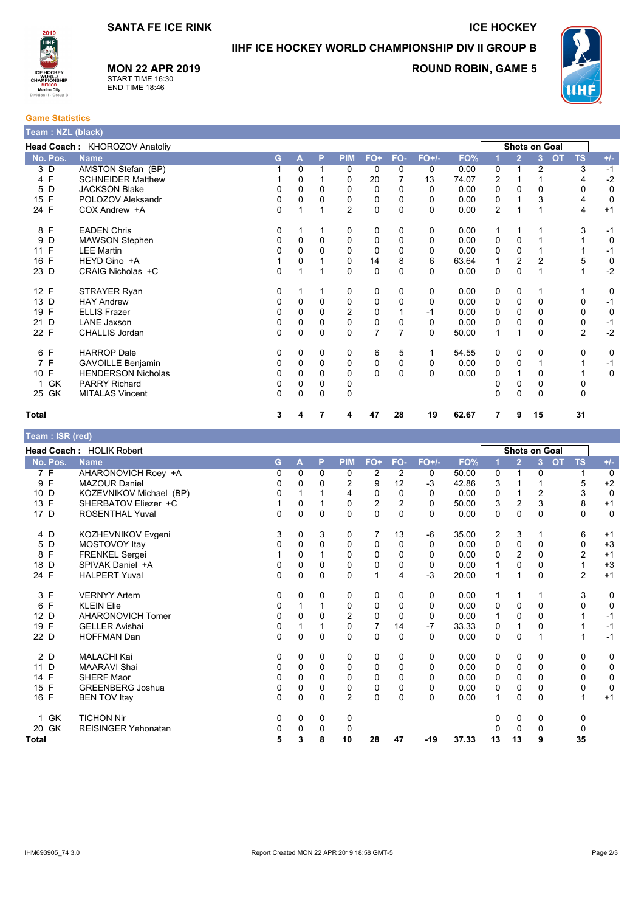**MON 22 APR 2019** 

START TIME 16:30<br>END TIME 18:46



IIHF ICE HOCKEY WORLD CHAMPIONSHIP DIV II GROUP B

**ROUND ROBIN, GAME 5** 



**Game Statistics** 

| Team : NZL (black) |                               |          |          |             |                |                |          |          |       |                |                |                      |           |                |             |
|--------------------|-------------------------------|----------|----------|-------------|----------------|----------------|----------|----------|-------|----------------|----------------|----------------------|-----------|----------------|-------------|
|                    | Head Coach: KHOROZOV Anatoliy |          |          |             |                |                |          |          |       |                |                | <b>Shots on Goal</b> |           |                |             |
| No. Pos.           | <b>Name</b>                   | G.       | A        | P           | <b>PIM</b>     | FO+            | FO-      | $FO+/-$  | FO%   |                | $\overline{2}$ | 3                    | <b>OT</b> | <b>TS</b>      | $+/-$       |
| 3 D                | AMSTON Stefan (BP)            |          | $\Omega$ |             | 0              | 0              | 0        | 0        | 0.00  | 0              |                | $\overline{2}$       |           | 3              | $-1$        |
| 4 F                | <b>SCHNEIDER Matthew</b>      |          | 0        |             | 0              | 20             |          | 13       | 74.07 | 2              |                |                      |           | 4              | $-2$        |
| D<br>5             | <b>JACKSON Blake</b>          | 0        | 0        | 0           | $\Omega$       | $\Omega$       | 0        | 0        | 0.00  | 0              | 0              | 0                    |           | 0              | 0           |
| F<br>15            | POLOZOV Aleksandr             | 0        | 0        | 0           | 0              | 0              | 0        | 0        | 0.00  | 0              |                | 3                    |           | 4              | 0           |
| 24 F               | COX Andrew +A                 | $\Omega$ |          | 1           | $\overline{2}$ | $\mathbf 0$    | $\Omega$ | 0        | 0.00  | $\overline{2}$ |                |                      |           | 4              | $+1$        |
| 8 F                | <b>EADEN Chris</b>            | 0        |          |             | 0              | 0              | 0        | 0        | 0.00  | 1              |                |                      |           | 3              | $-1$        |
| 9<br>D             | <b>MAWSON Stephen</b>         | 0        | $\Omega$ | $\Omega$    | $\mathbf 0$    | 0              | 0        | 0        | 0.00  | 0              | $\Omega$       |                      |           |                | $\mathbf 0$ |
| F<br>11            | <b>LEE Martin</b>             | 0        | 0        | 0           | $\Omega$       | 0              | 0        | 0        | 0.00  | 0              | 0              |                      |           |                | $-1$        |
| F<br>16            | HEYD Gino +A                  |          | 0        |             | 0              | 14             | 8        | 6        | 63.64 | 1              | 2              | 2                    |           | 5              | $\pmb{0}$   |
| 23 D               | CRAIG Nicholas +C             | 0        |          | 1           | $\Omega$       | $\Omega$       | $\Omega$ | 0        | 0.00  | 0              | $\Omega$       | 1                    |           | 1              | $-2$        |
| 12 F               | STRAYER Ryan                  | 0        |          |             | 0              | 0              | 0        | 0        | 0.00  | 0              | 0              |                      |           |                | 0           |
| 13 D               | <b>HAY Andrew</b>             | 0        | $\Omega$ | $\Omega$    | $\Omega$       | 0              | 0        | 0        | 0.00  | 0              | 0              | 0                    |           | 0              | $-1$        |
| F<br>19            | <b>ELLIS Frazer</b>           | 0        | 0        | 0           | $\overline{2}$ | 0              |          | -1       | 0.00  | 0              | 0              | 0                    |           | 0              | 0           |
| D<br>21            | <b>LANE Jaxson</b>            | 0        | 0        | 0           | $\Omega$       | $\mathbf 0$    | 0        | 0        | 0.00  | 0              | 0              | 0                    |           | 0              | $-1$        |
| 22 F               | <b>CHALLIS Jordan</b>         | $\Omega$ | 0        | $\mathbf 0$ | $\Omega$       | $\overline{7}$ | 7        | 0        | 50.00 | $\mathbf{1}$   |                | 0                    |           | $\overline{2}$ | $-2$        |
| 6 F                | <b>HARROP Dale</b>            | 0        | $\Omega$ | $\Omega$    | 0              | 6              | 5        |          | 54.55 | 0              | 0              | 0                    |           | $\Omega$       | 0           |
| 7<br>$\mathsf{F}$  | <b>GAVOILLE Benjamin</b>      | 0        | 0        | 0           | 0              | 0              | 0        | 0        | 0.00  | 0              | 0              |                      |           |                | $-1$        |
| 10 F               | <b>HENDERSON Nicholas</b>     | O        | 0        | 0           | $\Omega$       | $\Omega$       | $\Omega$ | $\Omega$ | 0.00  | 0              |                | 0                    |           |                | 0           |
| GK                 | <b>PARRY Richard</b>          | 0        | 0        | $\Omega$    | 0              |                |          |          |       | 0              | 0              | 0                    |           | 0              |             |
| 25 GK              | <b>MITALAS Vincent</b>        | 0        | 0        | 0           | 0              |                |          |          |       | 0              | 0              | 0                    |           | 0              |             |
| <b>Total</b>       |                               | 3        |          | 7           | 4              | 47             | 28       | 19       | 62.67 | 7              | 9              | 15                   |           | 31             |             |

| Team : ISR (red)  |                                 |   |   |              |                |                |          |          |       |          |                |                      |                        |                |
|-------------------|---------------------------------|---|---|--------------|----------------|----------------|----------|----------|-------|----------|----------------|----------------------|------------------------|----------------|
|                   | <b>Head Coach: HOLIK Robert</b> |   |   |              |                |                |          |          |       |          |                | <b>Shots on Goal</b> |                        |                |
| No. Pos.          | <b>Name</b>                     | G | A | P            | <b>PIM</b>     | FO+            | FO-      | $FO+/-$  | FO%   |          | $\overline{2}$ | $\overline{3}$       | <b>TS</b><br><b>OT</b> | $+/-$          |
| 7 F               | AHARONOVICH Roey +A             | 0 | 0 | 0            | 0              | 2              | 2        | 0        | 50.00 | 0        | 1              | 0                    |                        | $\overline{0}$ |
| $\mathsf{F}$<br>9 | <b>MAZOUR Daniel</b>            | 0 | 0 | <sup>0</sup> | 2              | 9              | 12       | -3       | 42.86 | 3        |                |                      | 5                      | $+2$           |
| D<br>10           | KOZEVNIKOV Michael (BP)         | 0 |   |              | 4              | 0              | 0        | 0        | 0.00  | 0        |                | $\overline{c}$       | 3                      | $\mathbf 0$    |
| F<br>13           | SHERBATOV Eliezer +C            |   | 0 |              | $\mathbf 0$    | $\overline{2}$ | 2        | 0        | 50.00 | 3        | $\overline{2}$ | 3                    | 8                      | $+1$           |
| 17 D              | <b>ROSENTHAL Yuval</b>          | 0 | 0 | $\Omega$     | $\Omega$       | $\mathbf 0$    | $\Omega$ | $\Omega$ | 0.00  | $\Omega$ | $\Omega$       | $\Omega$             | $\Omega$               | $\mathbf 0$    |
| 4 D               | KOZHEVNIKOV Evgeni              | 3 | 0 | 3            | 0              | 7              | 13       | -6       | 35.00 | 2        | 3              |                      | 6                      | $+1$           |
| D<br>5            | MOSTOVOY Itay                   | 0 | 0 | $\Omega$     | 0              | 0              | 0        | 0        | 0.00  | 0        | 0              | 0                    | 0                      | $+3$           |
| $\mathsf{F}$<br>8 | <b>FRENKEL Sergei</b>           |   | 0 |              | 0              | 0              | 0        | 0        | 0.00  | $\Omega$ | $\overline{2}$ | $\Omega$             | 2                      | $+1$           |
| D<br>18           | SPIVAK Daniel +A                | 0 | 0 | 0            | 0              | $\mathbf 0$    | 0        | 0        | 0.00  | 1        | $\mathbf 0$    | 0                    |                        | $+3$           |
| 24 F              | <b>HALPERT Yuval</b>            | 0 | 0 | $\Omega$     | $\Omega$       | 1              | 4        | $-3$     | 20.00 | 1        | 1              | $\Omega$             | 2                      | $+1$           |
| 3 F               | <b>VERNYY Artem</b>             | 0 | 0 | 0            | 0              | 0              | 0        | 0        | 0.00  | 1        | 1              |                      | 3                      | 0              |
| F<br>6            | <b>KLEIN Elie</b>               | 0 |   |              | 0              | 0              | 0        | 0        | 0.00  | 0        | 0              | 0                    | 0                      | $\mathbf 0$    |
| D<br>12           | <b>AHARONOVICH Tomer</b>        | 0 | 0 | 0            | $\overline{2}$ | $\mathbf 0$    | $\Omega$ | 0        | 0.00  |          | 0              | 0                    |                        | $-1$           |
| F<br>19           | <b>GELLER Avishai</b>           | 0 |   |              | 0              | 7              | 14       | -7       | 33.33 | 0        | 1              | 0                    |                        | $-1$           |
| 22 D              | <b>HOFFMAN Dan</b>              | 0 | 0 | $\Omega$     | $\Omega$       | $\mathbf 0$    | $\Omega$ | $\Omega$ | 0.00  | 0        | 0              |                      |                        | $-1$           |
| 2 D               | <b>MALACHI Kai</b>              | 0 | 0 | 0            | 0              | 0              | 0        | 0        | 0.00  | 0        | 0              | 0                    | 0                      | 0              |
| D<br>11           | <b>MAARAVI Shai</b>             | 0 | 0 | $\Omega$     | 0              | 0              | 0        | 0        | 0.00  | 0        | 0              | $\Omega$             | 0                      | $\pmb{0}$      |
| F<br>14           | <b>SHERF Maor</b>               | 0 | 0 | 0            | 0              | 0              | 0        | 0        | 0.00  | 0        | $\Omega$       | 0                    | 0                      | 0              |
| F<br>15           | <b>GREENBERG Joshua</b>         | 0 | 0 | 0            | 0              | 0              | 0        | $\Omega$ | 0.00  | $\Omega$ | $\Omega$       | 0                    | 0                      | $\mathbf 0$    |
| 16 F              | <b>BEN TOV Itay</b>             | 0 | 0 | $\Omega$     | $\overline{2}$ | $\mathbf 0$    | $\Omega$ | $\Omega$ | 0.00  | 1        | $\Omega$       | $\Omega$             |                        | $+1$           |
| GK<br>1           | <b>TICHON Nir</b>               | 0 | 0 | 0            | 0              |                |          |          |       | 0        | 0              | 0                    | 0                      |                |
| 20 GK             | <b>REISINGER Yehonatan</b>      | 0 | 0 | 0            | 0              |                |          |          |       | 0        | 0              | 0                    | 0                      |                |
| <b>Total</b>      |                                 | 5 | 3 | 8            | 10             | 28             | 47       | $-19$    | 37.33 | 13       | 13             | 9                    | 35                     |                |